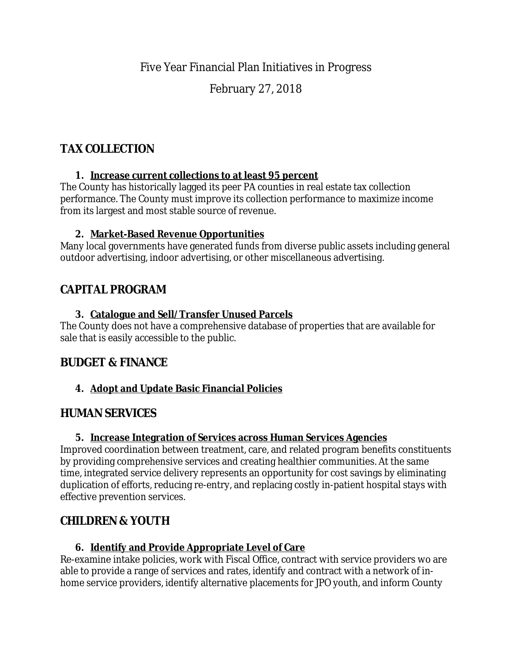## Five Year Financial Plan Initiatives in Progress

## February 27, 2018

# **TAX COLLECTION**

#### **1. Increase current collections to at least 95 percent**

The County has historically lagged its peer PA counties in real estate tax collection performance. The County must improve its collection performance to maximize income from its largest and most stable source of revenue.

### **2. Market-Based Revenue Opportunities**

Many local governments have generated funds from diverse public assets including general outdoor advertising, indoor advertising, or other miscellaneous advertising.

# **CAPITAL PROGRAM**

#### **3. Catalogue and Sell/Transfer Unused Parcels**

The County does not have a comprehensive database of properties that are available for sale that is easily accessible to the public.

### **BUDGET & FINANCE**

### **4. Adopt and Update Basic Financial Policies**

### **HUMAN SERVICES**

### **5. Increase Integration of Services across Human Services Agencies**

Improved coordination between treatment, care, and related program benefits constituents by providing comprehensive services and creating healthier communities. At the same time, integrated service delivery represents an opportunity for cost savings by eliminating duplication of efforts, reducing re-entry, and replacing costly in-patient hospital stays with effective prevention services.

# **CHILDREN & YOUTH**

### **6. Identify and Provide Appropriate Level of Care**

Re-examine intake policies, work with Fiscal Office, contract with service providers wo are able to provide a range of services and rates, identify and contract with a network of inhome service providers, identify alternative placements for JPO youth, and inform County